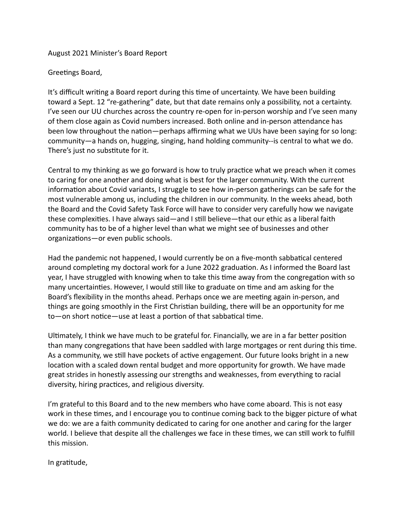## August 2021 Minister's Board Report

## Greetings Board,

It's difficult writing a Board report during this time of uncertainty. We have been building toward a Sept. 12 "re-gathering" date, but that date remains only a possibility, not a certainty. I've seen our UU churches across the country re-open for in-person worship and I've seen many of them close again as Covid numbers increased. Both online and in-person attendance has been low throughout the nation—perhaps affirming what we UUs have been saying for so long: community—a hands on, hugging, singing, hand holding community--is central to what we do. There's just no substitute for it.

Central to my thinking as we go forward is how to truly practice what we preach when it comes to caring for one another and doing what is best for the larger community. With the current information about Covid variants, I struggle to see how in-person gatherings can be safe for the most vulnerable among us, including the children in our community. In the weeks ahead, both the Board and the Covid Safety Task Force will have to consider very carefully how we navigate these complexities. I have always said—and I still believe—that our ethic as a liberal faith community has to be of a higher level than what we might see of businesses and other organizations—or even public schools.

Had the pandemic not happened, I would currently be on a five-month sabbatical centered around completing my doctoral work for a June 2022 graduation. As I informed the Board last year, I have struggled with knowing when to take this time away from the congregation with so many uncertainties. However, I would still like to graduate on time and am asking for the Board's flexibility in the months ahead. Perhaps once we are meeting again in-person, and things are going smoothly in the First Christian building, there will be an opportunity for me  $to$ —on short notice—use at least a portion of that sabbatical time.

Ultimately, I think we have much to be grateful for. Financially, we are in a far better position than many congregations that have been saddled with large mortgages or rent during this time. As a community, we still have pockets of active engagement. Our future looks bright in a new location with a scaled down rental budget and more opportunity for growth. We have made great strides in honestly assessing our strengths and weaknesses, from everything to racial diversity, hiring practices, and religious diversity.

I'm grateful to this Board and to the new members who have come aboard. This is not easy work in these times, and I encourage you to continue coming back to the bigger picture of what we do: we are a faith community dedicated to caring for one another and caring for the larger world. I believe that despite all the challenges we face in these times, we can still work to fulfill this mission.

In gratitude,